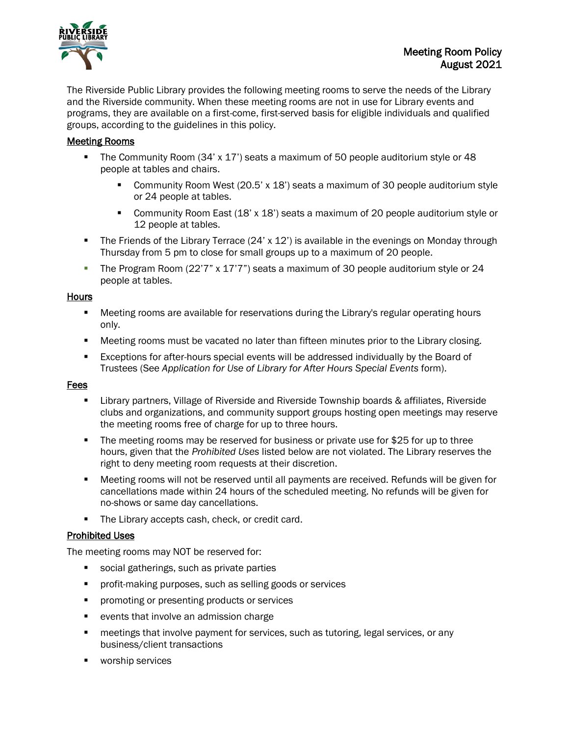

The Riverside Public Library provides the following meeting rooms to serve the needs of the Library and the Riverside community. When these meeting rooms are not in use for Library events and programs, they are available on a first-come, first-served basis for eligible individuals and qualified groups, according to the guidelines in this policy.

## Meeting Rooms

- The Community Room (34' x 17') seats a maximum of 50 people auditorium style or 48 people at tables and chairs.
	- Community Room West (20.5' x 18') seats a maximum of 30 people auditorium style or 24 people at tables.
	- Community Room East (18' x 18') seats a maximum of 20 people auditorium style or 12 people at tables.
- The Friends of the Library Terrace (24' x 12') is available in the evenings on Monday through Thursday from 5 pm to close for small groups up to a maximum of 20 people.
- The Program Room (22'7" x 17'7") seats a maximum of 30 people auditorium style or 24 people at tables.

## Hours

- Meeting rooms are available for reservations during the Library's regular operating hours only.
- Meeting rooms must be vacated no later than fifteen minutes prior to the Library closing.
- Exceptions for after-hours special events will be addressed individually by the Board of Trustees (See *Application for Use of Library for After Hours Special Events* form).

#### Fees

- Library partners, Village of Riverside and Riverside Township boards & affiliates, Riverside clubs and organizations, and community support groups hosting open meetings may reserve the meeting rooms free of charge for up to three hours.
- The meeting rooms may be reserved for business or private use for \$25 for up to three hours, given that the *Prohibited Uses* listed below are not violated. The Library reserves the right to deny meeting room requests at their discretion.
- Meeting rooms will not be reserved until all payments are received. Refunds will be given for cancellations made within 24 hours of the scheduled meeting. No refunds will be given for no-shows or same day cancellations.
- **The Library accepts cash, check, or credit card.**

## Prohibited Uses

The meeting rooms may NOT be reserved for:

- social gatherings, such as private parties
- **Perofit-making purposes, such as selling goods or services**
- **Peromoting or presenting products or services**
- **•** events that involve an admission charge
- **EXECT** meetings that involve payment for services, such as tutoring, legal services, or any business/client transactions
- **worship services**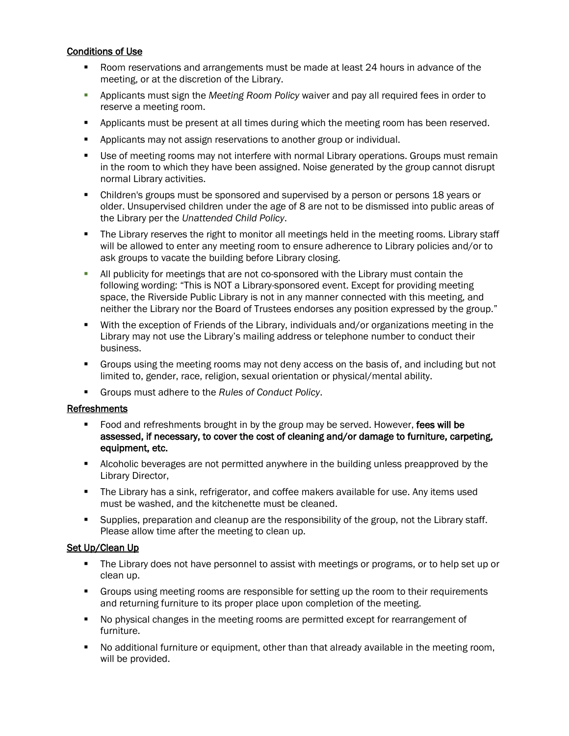## Conditions of Use

- Room reservations and arrangements must be made at least 24 hours in advance of the meeting, or at the discretion of the Library.
- Applicants must sign the *Meeting Room Policy* waiver and pay all required fees in order to reserve a meeting room.
- **•** Applicants must be present at all times during which the meeting room has been reserved.
- Applicants may not assign reservations to another group or individual.
- Use of meeting rooms may not interfere with normal Library operations. Groups must remain in the room to which they have been assigned. Noise generated by the group cannot disrupt normal Library activities.
- Children's groups must be sponsored and supervised by a person or persons 18 years or older. Unsupervised children under the age of 8 are not to be dismissed into public areas of the Library per the *Unattended Child Policy*.
- The Library reserves the right to monitor all meetings held in the meeting rooms. Library staff will be allowed to enter any meeting room to ensure adherence to Library policies and/or to ask groups to vacate the building before Library closing.
- All publicity for meetings that are not co-sponsored with the Library must contain the following wording: "This is NOT a Library-sponsored event. Except for providing meeting space, the Riverside Public Library is not in any manner connected with this meeting, and neither the Library nor the Board of Trustees endorses any position expressed by the group."
- With the exception of Friends of the Library, individuals and/or organizations meeting in the Library may not use the Library's mailing address or telephone number to conduct their business.
- Groups using the meeting rooms may not deny access on the basis of, and including but not limited to, gender, race, religion, sexual orientation or physical/mental ability.
- Groups must adhere to the *Rules of Conduct Policy*.

## Refreshments

- Food and refreshments brought in by the group may be served. However, fees will be assessed, if necessary, to cover the cost of cleaning and/or damage to furniture, carpeting, equipment, etc.
- Alcoholic beverages are not permitted anywhere in the building unless preapproved by the Library Director,
- The Library has a sink, refrigerator, and coffee makers available for use. Any items used must be washed, and the kitchenette must be cleaned.
- Supplies, preparation and cleanup are the responsibility of the group, not the Library staff. Please allow time after the meeting to clean up.

## Set Up/Clean Up

- The Library does not have personnel to assist with meetings or programs, or to help set up or clean up.
- **Groups using meeting rooms are responsible for setting up the room to their requirements** and returning furniture to its proper place upon completion of the meeting.
- No physical changes in the meeting rooms are permitted except for rearrangement of furniture.
- No additional furniture or equipment, other than that already available in the meeting room, will be provided.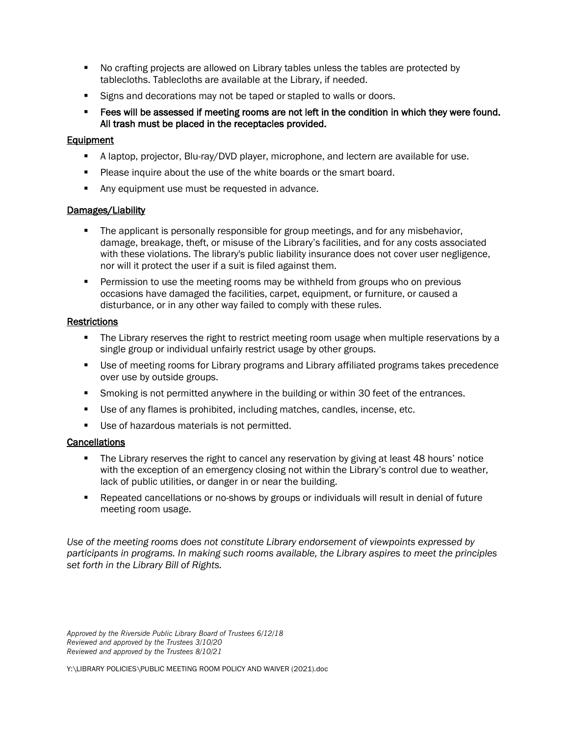- No crafting projects are allowed on Library tables unless the tables are protected by tablecloths. Tablecloths are available at the Library, if needed.
- Signs and decorations may not be taped or stapled to walls or doors.
- **Fees will be assessed if meeting rooms are not left in the condition in which they were found.** All trash must be placed in the receptacles provided.

## **Equipment**

- A laptop, projector, Blu-ray/DVD player, microphone, and lectern are available for use.
- **Please inquire about the use of the white boards or the smart board.**
- Any equipment use must be requested in advance.

## Damages/Liability

- **The applicant is personally responsible for group meetings, and for any misbehavior,** damage, breakage, theft, or misuse of the Library's facilities, and for any costs associated with these violations. The library's public liability insurance does not cover user negligence, nor will it protect the user if a suit is filed against them.
- **Permission to use the meeting rooms may be withheld from groups who on previous** occasions have damaged the facilities, carpet, equipment, or furniture, or caused a disturbance, or in any other way failed to comply with these rules.

## **Restrictions**

- The Library reserves the right to restrict meeting room usage when multiple reservations by a single group or individual unfairly restrict usage by other groups.
- Use of meeting rooms for Library programs and Library affiliated programs takes precedence over use by outside groups.
- **Smoking is not permitted anywhere in the building or within 30 feet of the entrances.**
- Use of any flames is prohibited, including matches, candles, incense, etc.
- Use of hazardous materials is not permitted.

## **Cancellations**

- The Library reserves the right to cancel any reservation by giving at least 48 hours' notice with the exception of an emergency closing not within the Library's control due to weather, lack of public utilities, or danger in or near the building.
- Repeated cancellations or no-shows by groups or individuals will result in denial of future meeting room usage.

*Use of the meeting rooms does not constitute Library endorsement of viewpoints expressed by participants in programs. In making such rooms available, the Library aspires to meet the principles set forth in the Library Bill of Rights.*

*Approved by the Riverside Public Library Board of Trustees 6/12/18 Reviewed and approved by the Trustees 3/10/20 Reviewed and approved by the Trustees 8/10/21*